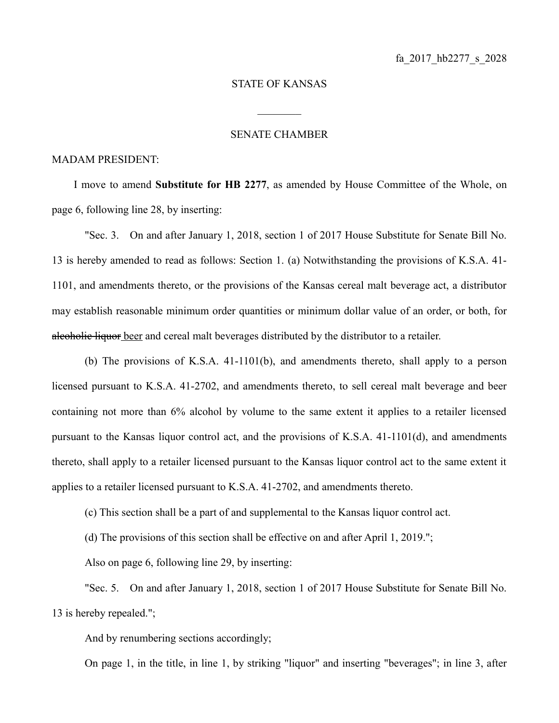## STATE OF KANSAS

 $\frac{1}{2}$ 

## SENATE CHAMBER

## MADAM PRESIDENT:

I move to amend **Substitute for HB 2277**, as amended by House Committee of the Whole, on page 6, following line 28, by inserting:

"Sec. 3. On and after January 1, 2018, section 1 of 2017 House Substitute for Senate Bill No. 13 is hereby amended to read as follows: Section 1. (a) Notwithstanding the provisions of K.S.A. 41- 1101, and amendments thereto, or the provisions of the Kansas cereal malt beverage act, a distributor may establish reasonable minimum order quantities or minimum dollar value of an order, or both, for alcoholic liquor beer and cereal malt beverages distributed by the distributor to a retailer.

(b) The provisions of K.S.A. 41-1101(b), and amendments thereto, shall apply to a person licensed pursuant to K.S.A. 41-2702, and amendments thereto, to sell cereal malt beverage and beer containing not more than 6% alcohol by volume to the same extent it applies to a retailer licensed pursuant to the Kansas liquor control act, and the provisions of K.S.A. 41-1101(d), and amendments thereto, shall apply to a retailer licensed pursuant to the Kansas liquor control act to the same extent it applies to a retailer licensed pursuant to K.S.A. 41-2702, and amendments thereto.

(c) This section shall be a part of and supplemental to the Kansas liquor control act.

(d) The provisions of this section shall be effective on and after April 1, 2019.";

Also on page 6, following line 29, by inserting:

"Sec. 5. On and after January 1, 2018, section 1 of 2017 House Substitute for Senate Bill No. 13 is hereby repealed.";

And by renumbering sections accordingly;

On page 1, in the title, in line 1, by striking "liquor" and inserting "beverages"; in line 3, after